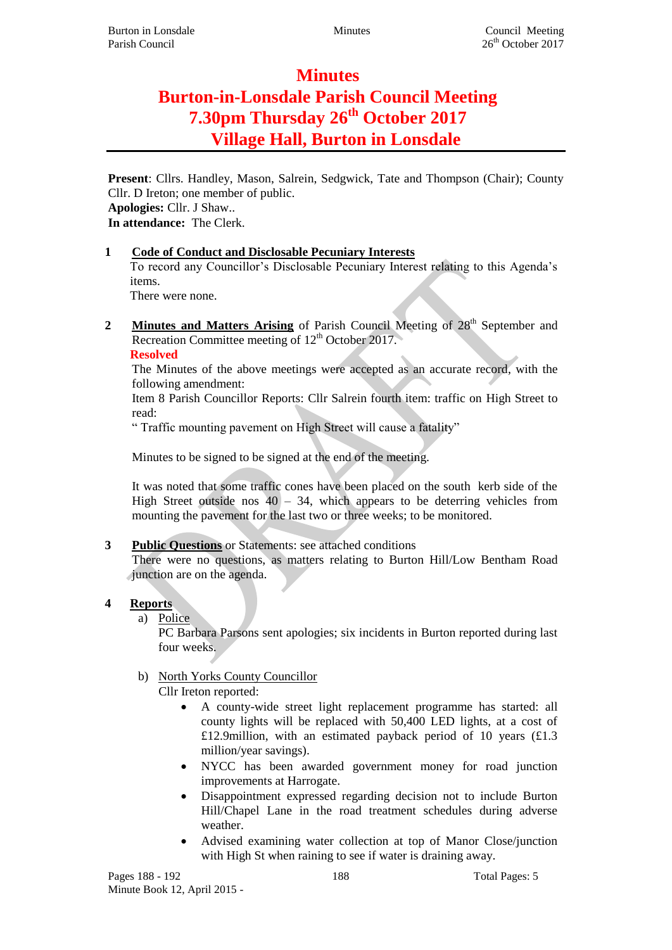# **Minutes**

# **Burton-in-Lonsdale Parish Council Meeting 7.30pm Thursday 26th October 2017 Village Hall, Burton in Lonsdale**

**Present**: Cllrs. Handley, Mason, Salrein, Sedgwick, Tate and Thompson (Chair); County Cllr. D Ireton; one member of public. **Apologies:** Cllr. J Shaw.. **In attendance:** The Clerk.

#### **1 Code of Conduct and Disclosable Pecuniary Interests**

To record any Councillor's Disclosable Pecuniary Interest relating to this Agenda's items.

There were none.

**2 Minutes** and Matters Arising of Parish Council Meeting of 28<sup>th</sup> September and Recreation Committee meeting of  $12<sup>th</sup>$  October 2017.

**Resolved**

The Minutes of the above meetings were accepted as an accurate record, with the following amendment:

Item 8 Parish Councillor Reports: Cllr Salrein fourth item: traffic on High Street to read:

" Traffic mounting pavement on High Street will cause a fatality"

Minutes to be signed to be signed at the end of the meeting.

It was noted that some traffic cones have been placed on the south kerb side of the High Street outside nos  $40 - 34$ , which appears to be deterring vehicles from mounting the pavement for the last two or three weeks; to be monitored.

### **3 Public Questions** or Statements: see attached conditions

There were no questions, as matters relating to Burton Hill/Low Bentham Road junction are on the agenda.

### **4 Reports**

a) Police

PC Barbara Parsons sent apologies; six incidents in Burton reported during last four weeks.

### b) North Yorks County Councillor

Cllr Ireton reported:

- A county-wide street light replacement programme has started: all county lights will be replaced with 50,400 LED lights, at a cost of £12.9million, with an estimated payback period of 10 years (£1.3 million/year savings).
- NYCC has been awarded government money for road junction improvements at Harrogate.
- Disappointment expressed regarding decision not to include Burton Hill/Chapel Lane in the road treatment schedules during adverse weather.
- Advised examining water collection at top of Manor Close/junction with High St when raining to see if water is draining away.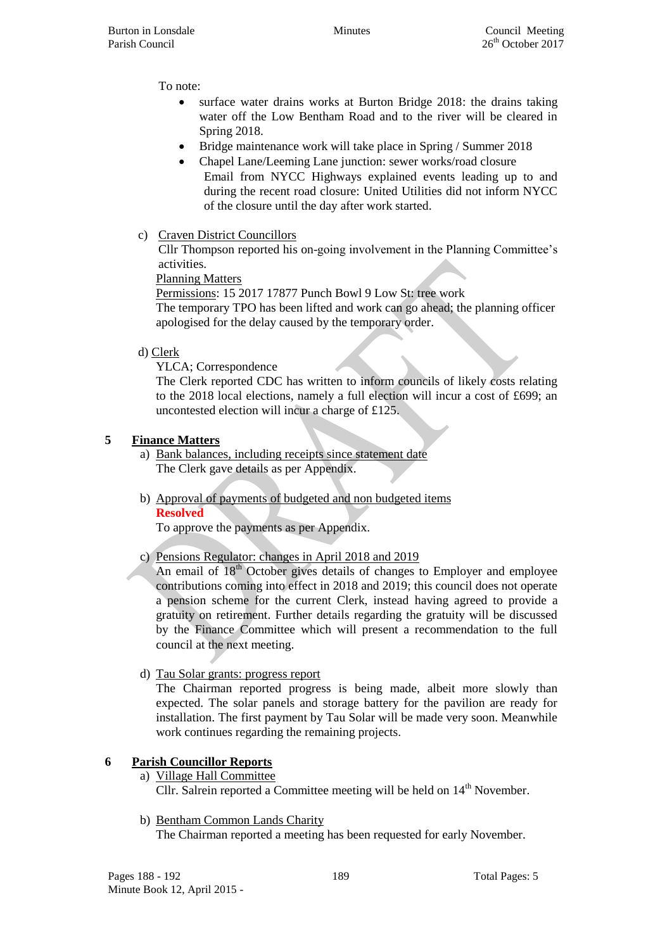Burton in Lonsdale **Minutes** Council Meeting Parish Council 26<sup>th</sup> October 2017

To note:

- surface water drains works at Burton Bridge 2018: the drains taking water off the Low Bentham Road and to the river will be cleared in Spring 2018.
- Bridge maintenance work will take place in Spring / Summer 2018
- Chapel Lane/Leeming Lane junction: sewer works/road closure Email from NYCC Highways explained events leading up to and during the recent road closure: United Utilities did not inform NYCC of the closure until the day after work started.
- c) Craven District Councillors

Cllr Thompson reported his on-going involvement in the Planning Committee's activities.

Planning Matters

Permissions: 15 2017 17877 Punch Bowl 9 Low St: tree work The temporary TPO has been lifted and work can go ahead; the planning officer apologised for the delay caused by the temporary order.

d) Clerk

YLCA; Correspondence

The Clerk reported CDC has written to inform councils of likely costs relating to the 2018 local elections, namely a full election will incur a cost of £699; an uncontested election will incur a charge of £125.

# **5 Finance Matters**

- a) Bank balances, including receipts since statement date The Clerk gave details as per Appendix.
- b) Approval of payments of budgeted and non budgeted items **Resolved**

To approve the payments as per Appendix.

c) Pensions Regulator: changes in April 2018 and 2019

An email of 18<sup>th</sup> October gives details of changes to Employer and employee contributions coming into effect in 2018 and 2019; this council does not operate a pension scheme for the current Clerk, instead having agreed to provide a gratuity on retirement. Further details regarding the gratuity will be discussed by the Finance Committee which will present a recommendation to the full council at the next meeting.

d) Tau Solar grants: progress report

The Chairman reported progress is being made, albeit more slowly than expected. The solar panels and storage battery for the pavilion are ready for installation. The first payment by Tau Solar will be made very soon. Meanwhile work continues regarding the remaining projects.

# **6 Parish Councillor Reports**

- a) Village Hall Committee Cllr. Salrein reported a Committee meeting will be held on  $14<sup>th</sup>$  November.
- b) Bentham Common Lands Charity

The Chairman reported a meeting has been requested for early November.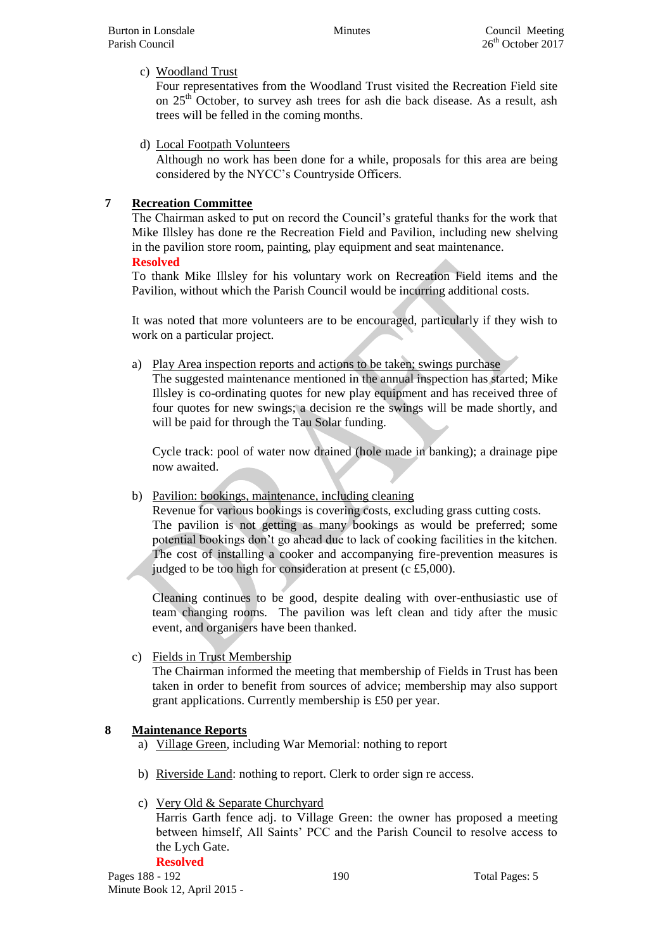#### c) Woodland Trust

Four representatives from the Woodland Trust visited the Recreation Field site on 25<sup>th</sup> October, to survey ash trees for ash die back disease. As a result, ash trees will be felled in the coming months.

d) Local Footpath Volunteers

Although no work has been done for a while, proposals for this area are being considered by the NYCC's Countryside Officers.

## **7 Recreation Committee**

The Chairman asked to put on record the Council's grateful thanks for the work that Mike Illsley has done re the Recreation Field and Pavilion, including new shelving in the pavilion store room, painting, play equipment and seat maintenance. **Resolved**

To thank Mike Illsley for his voluntary work on Recreation Field items and the Pavilion, without which the Parish Council would be incurring additional costs.

It was noted that more volunteers are to be encouraged, particularly if they wish to work on a particular project.

a) Play Area inspection reports and actions to be taken; swings purchase

The suggested maintenance mentioned in the annual inspection has started; Mike Illsley is co-ordinating quotes for new play equipment and has received three of four quotes for new swings; a decision re the swings will be made shortly, and will be paid for through the Tau Solar funding.

Cycle track: pool of water now drained (hole made in banking); a drainage pipe now awaited.

### b) Pavilion: bookings, maintenance, including cleaning

Revenue for various bookings is covering costs, excluding grass cutting costs. The pavilion is not getting as many bookings as would be preferred; some potential bookings don't go ahead due to lack of cooking facilities in the kitchen. The cost of installing a cooker and accompanying fire-prevention measures is judged to be too high for consideration at present (c £5,000).

Cleaning continues to be good, despite dealing with over-enthusiastic use of team changing rooms. The pavilion was left clean and tidy after the music event, and organisers have been thanked.

### c) Fields in Trust Membership

The Chairman informed the meeting that membership of Fields in Trust has been taken in order to benefit from sources of advice; membership may also support grant applications. Currently membership is £50 per year.

### **8 Maintenance Reports**

- a) Village Green, including War Memorial: nothing to report
- b) Riverside Land: nothing to report. Clerk to order sign re access.

### c) Very Old & Separate Churchyard

Harris Garth fence adj. to Village Green: the owner has proposed a meeting between himself, All Saints' PCC and the Parish Council to resolve access to the Lych Gate. **Resolved**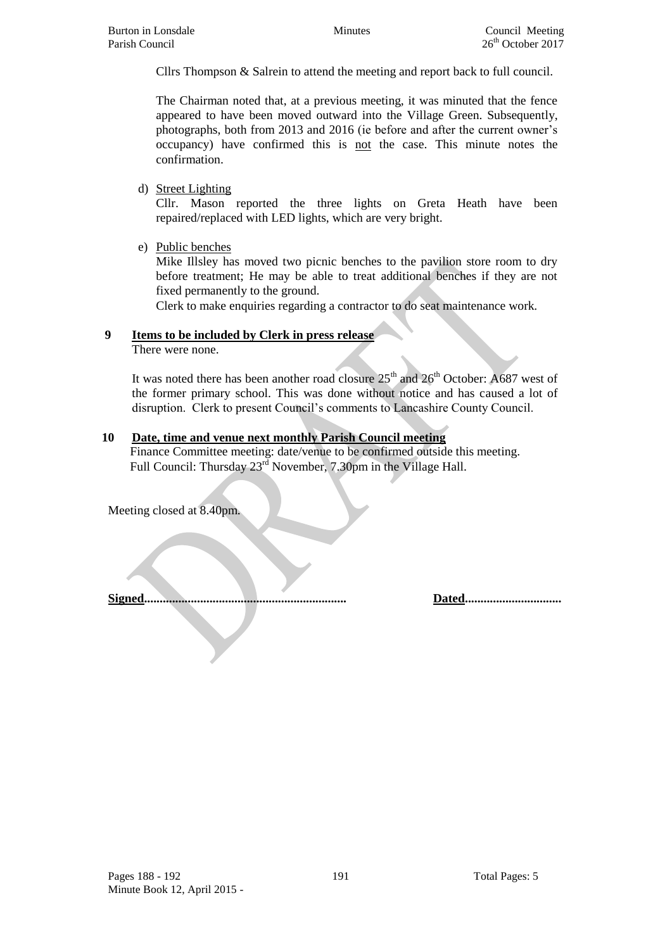Cllrs Thompson & Salrein to attend the meeting and report back to full council.

The Chairman noted that, at a previous meeting, it was minuted that the fence appeared to have been moved outward into the Village Green. Subsequently, photographs, both from 2013 and 2016 (ie before and after the current owner's occupancy) have confirmed this is not the case. This minute notes the confirmation.

#### d) Street Lighting

Cllr. Mason reported the three lights on Greta Heath have been repaired/replaced with LED lights, which are very bright.

e) Public benches

Mike Illsley has moved two picnic benches to the pavilion store room to dry before treatment; He may be able to treat additional benches if they are not fixed permanently to the ground.

Clerk to make enquiries regarding a contractor to do seat maintenance work.

#### **9 Items to be included by Clerk in press release**

There were none.

It was noted there has been another road closure  $25<sup>th</sup>$  and  $26<sup>th</sup>$  October: A687 west of the former primary school. This was done without notice and has caused a lot of disruption. Clerk to present Council's comments to Lancashire County Council.

### **10 Date, time and venue next monthly Parish Council meeting**

Finance Committee meeting: date/venue to be confirmed outside this meeting. Full Council: Thursday 23<sup>rd</sup> November, 7.30pm in the Village Hall.

Meeting closed at 8.40pm.

**Signed................................................................. Dated...............................**